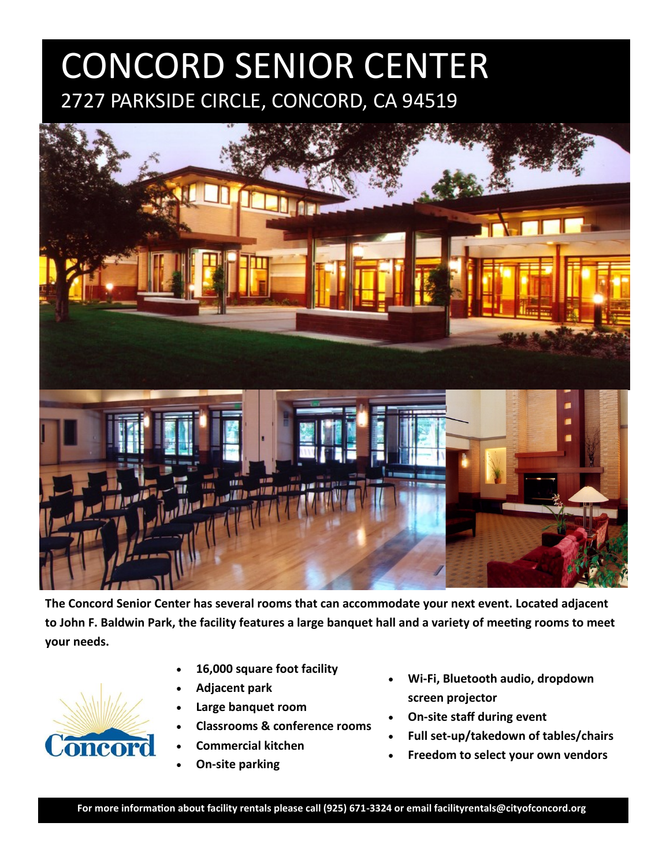## CONCORD SENIOR CENTER 2727 PARKSIDE CIRCLE, CONCORD, CA 94519



**The Concord Senior Center has several rooms that can accommodate your next event. Located adjacent to John F. Baldwin Park, the facility features a large banquet hall and a variety of meeting rooms to meet your needs.**

- Concord
- **16,000 square foot facility**
- **Adjacent park**
- **Large banquet room**
- **Classrooms & conference rooms**
- **Commercial kitchen**
- **On-site parking**
- **Wi-Fi, Bluetooth audio, dropdown screen projector**
- **On-site staff during event**
- **Full set-up/takedown of tables/chairs**
- **Freedom to select your own vendors**

**For more information about facility rentals please call (925) 671-3324 or email facilityrentals@cityofconcord.org.**